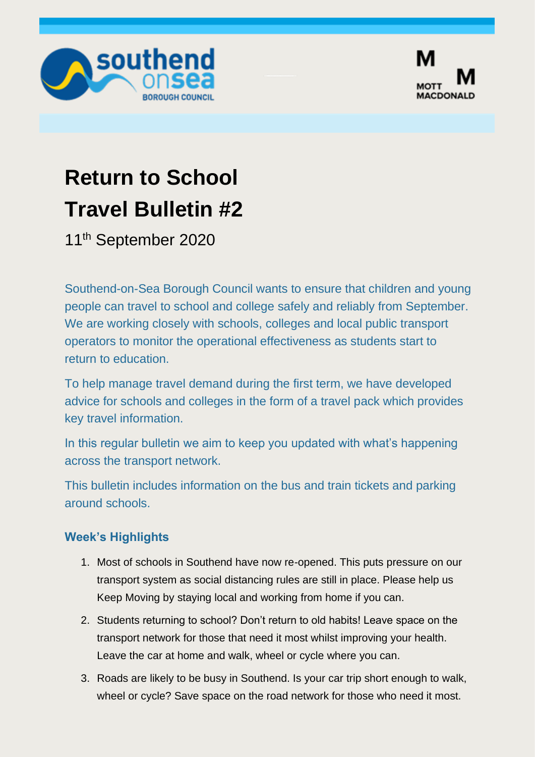



# **Return to School Travel Bulletin #2**

11<sup>th</sup> September 2020

Southend-on-Sea Borough Council wants to ensure that children and young people can travel to school and college safely and reliably from September. We are working closely with schools, colleges and local public transport operators to monitor the operational effectiveness as students start to return to education.

To help manage travel demand during the first term, we have developed advice for schools and colleges in the form of a travel pack which provides key travel information.

In this regular bulletin we aim to keep you updated with what's happening across the transport network.

This bulletin includes information on the bus and train tickets and parking around schools.

## **Week's Highlights**

- 1. Most of schools in Southend have now re-opened. This puts pressure on our transport system as social distancing rules are still in place. Please help us Keep Moving by staying local and working from home if you can.
- 2. Students returning to school? Don't return to old habits! Leave space on the transport network for those that need it most whilst improving your health. Leave the car at home and walk, wheel or cycle where you can.
- 3. Roads are likely to be busy in Southend. Is your car trip short enough to walk, wheel or cycle? Save space on the road network for those who need it most.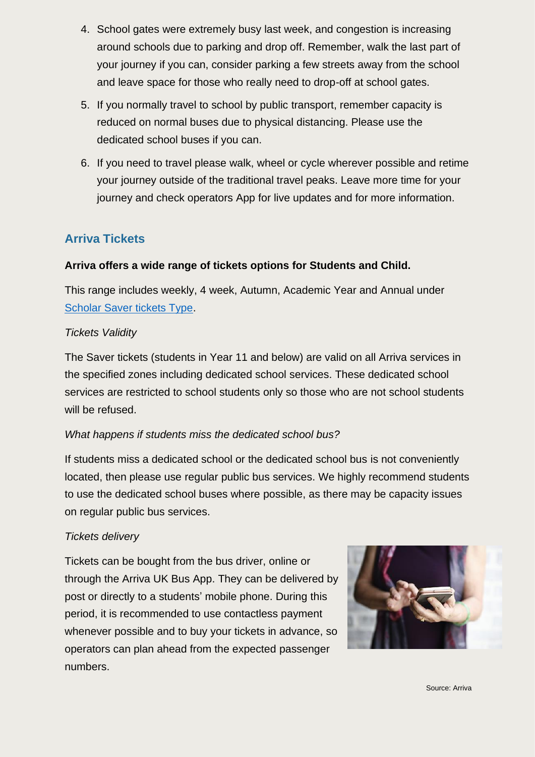- 4. School gates were extremely busy last week, and congestion is increasing around schools due to parking and drop off. Remember, walk the last part of your journey if you can, consider parking a few streets away from the school and leave space for those who really need to drop-off at school gates.
- 5. If you normally travel to school by public transport, remember capacity is reduced on normal buses due to physical distancing. Please use the dedicated school buses if you can.
- 6. If you need to travel please walk, wheel or cycle wherever possible and retime your journey outside of the traditional travel peaks. Leave more time for your journey and check operators App for live updates and for more information.

# **Arriva Tickets**

## **Arriva offers a wide range of tickets options for Students and Child.**

This range includes weekly, 4 week, Autumn, Academic Year and Annual under [Scholar Saver tickets Type.](https://www.arrivabus.co.uk/school-travel)

## *Tickets Validity*

The Saver tickets (students in Year 11 and below) are valid on all Arriva services in the specified zones including dedicated school services. These dedicated school services are restricted to school students only so those who are not school students will be refused.

## *What happens if students miss the dedicated school bus?*

If students miss a dedicated school or the dedicated school bus is not conveniently located, then please use regular public bus services. We highly recommend students to use the dedicated school buses where possible, as there may be capacity issues on regular public bus services.

#### *Tickets delivery*

Tickets can be bought from the bus driver, online or through the Arriva UK Bus App. They can be delivered by post or directly to a students' mobile phone. During this period, it is recommended to use contactless payment whenever possible and to buy your tickets in advance, so operators can plan ahead from the expected passenger numbers.

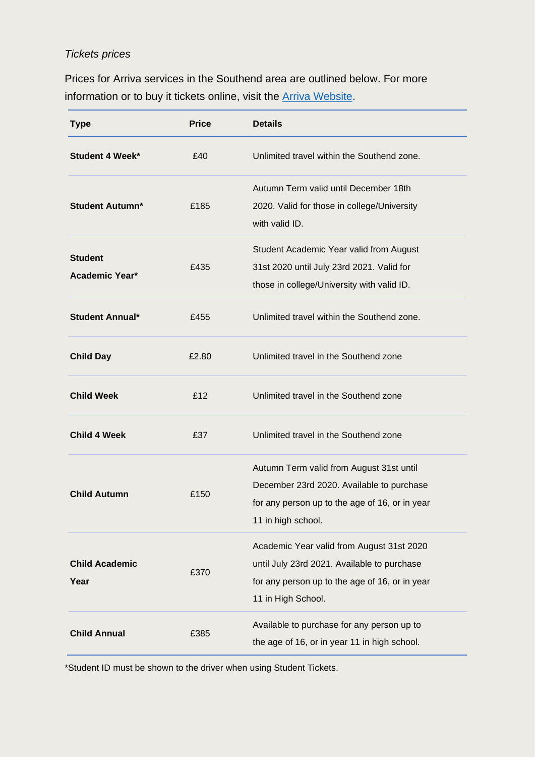## *Tickets prices*

Prices for Arriva services in the Southend area are outlined below. For more information or to buy it tickets online, visit the [Arriva Website.](https://www.arrivabus.co.uk/buy-tickets/region/herts-and-essex/zone/asc020)

| <b>Type</b>                             | <b>Price</b> | <b>Details</b>                                                                                                                                                   |
|-----------------------------------------|--------------|------------------------------------------------------------------------------------------------------------------------------------------------------------------|
| <b>Student 4 Week*</b>                  | £40          | Unlimited travel within the Southend zone.                                                                                                                       |
| <b>Student Autumn*</b>                  | £185         | Autumn Term valid until December 18th<br>2020. Valid for those in college/University<br>with valid ID.                                                           |
| <b>Student</b><br><b>Academic Year*</b> | £435         | Student Academic Year valid from August<br>31st 2020 until July 23rd 2021. Valid for<br>those in college/University with valid ID.                               |
| <b>Student Annual*</b>                  | £455         | Unlimited travel within the Southend zone.                                                                                                                       |
| <b>Child Day</b>                        | £2.80        | Unlimited travel in the Southend zone                                                                                                                            |
| <b>Child Week</b>                       | £12          | Unlimited travel in the Southend zone                                                                                                                            |
| <b>Child 4 Week</b>                     | £37          | Unlimited travel in the Southend zone                                                                                                                            |
| <b>Child Autumn</b>                     | £150         | Autumn Term valid from August 31st until<br>December 23rd 2020. Available to purchase<br>for any person up to the age of 16, or in year<br>11 in high school.    |
| <b>Child Academic</b><br>Year           | £370         | Academic Year valid from August 31st 2020<br>until July 23rd 2021. Available to purchase<br>for any person up to the age of 16, or in year<br>11 in High School. |
| <b>Child Annual</b>                     | £385         | Available to purchase for any person up to<br>the age of 16, or in year 11 in high school.                                                                       |

\*Student ID must be shown to the driver when using Student Tickets.